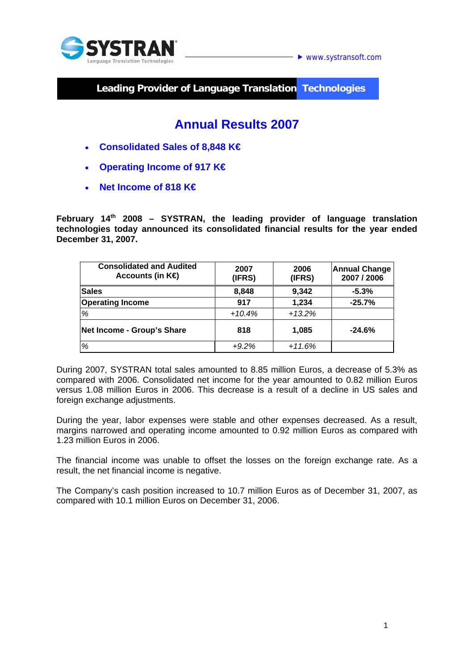

 $\blacktriangleright$  www.systransoft.com

**Leading Provider of Language Translation Technologies** 

# **Annual Results 2007**

- **Consolidated Sales of 8,848 K€**
- **Operating Income of 917 K€**
- **Net Income of 818 K€**

**February 14th 2008 – SYSTRAN, the leading provider of language translation technologies today announced its consolidated financial results for the year ended December 31, 2007.** 

| <b>Consolidated and Audited</b><br>Accounts (in $K\oplus$ | 2007<br>(IFRS) | 2006<br>(IFRS) | <b>Annual Change</b><br>2007 / 2006 |
|-----------------------------------------------------------|----------------|----------------|-------------------------------------|
| <b>Sales</b>                                              | 8,848          | 9,342          | $-5.3%$                             |
| <b>Operating Income</b>                                   | 917            | 1,234          | $-25.7%$                            |
| %                                                         | $+10.4%$       | $+13.2%$       |                                     |
| Net Income - Group's Share                                | 818            | 1,085          | $-24.6%$                            |
| %                                                         | $+9.2%$        | $+11.6%$       |                                     |

During 2007, SYSTRAN total sales amounted to 8.85 million Euros, a decrease of 5.3% as compared with 2006. Consolidated net income for the year amounted to 0.82 million Euros versus 1.08 million Euros in 2006. This decrease is a result of a decline in US sales and foreign exchange adjustments.

During the year, labor expenses were stable and other expenses decreased. As a result, margins narrowed and operating income amounted to 0.92 million Euros as compared with 1.23 million Euros in 2006.

The financial income was unable to offset the losses on the foreign exchange rate. As a result, the net financial income is negative.

The Company's cash position increased to 10.7 million Euros as of December 31, 2007, as compared with 10.1 million Euros on December 31, 2006.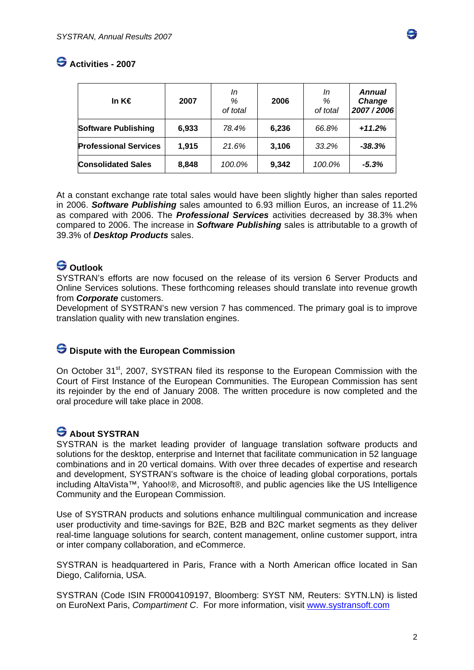

### **Activities - 2007**

| In K€                        | 2007  | In<br>%<br>of total | 2006  | In<br>%<br>of total | <b>Annual</b><br>Change<br>2007/2006 |
|------------------------------|-------|---------------------|-------|---------------------|--------------------------------------|
| <b>Software Publishing</b>   | 6,933 | 78.4%               | 6,236 | 66.8%               | $+11.2%$                             |
| <b>Professional Services</b> | 1,915 | 21.6%               | 3,106 | 33.2%               | $-38.3%$                             |
| <b>Consolidated Sales</b>    | 8,848 | 100.0%              | 9,342 | 100.0%              | $-5.3%$                              |

At a constant exchange rate total sales would have been slightly higher than sales reported in 2006. *Software Publishing* sales amounted to 6.93 million Euros, an increase of 11.2% as compared with 2006. The *Professional Services* activities decreased by 38.3% when compared to 2006. The increase in *Software Publishing* sales is attributable to a growth of 39.3% of *Desktop Products* sales.

### **S** Outlook

SYSTRAN's efforts are now focused on the release of its version 6 Server Products and Online Services solutions. These forthcoming releases should translate into revenue growth from *Corporate* customers.

Development of SYSTRAN's new version 7 has commenced. The primary goal is to improve translation quality with new translation engines.

### $\bigodot$  Dispute with the European Commission

On October 31<sup>st</sup>, 2007, SYSTRAN filed its response to the European Commission with the Court of First Instance of the European Communities. The European Commission has sent its rejoinder by the end of January 2008. The written procedure is now completed and the oral procedure will take place in 2008.

## **S** About SYSTRAN

SYSTRAN is the market leading provider of language translation software products and solutions for the desktop, enterprise and Internet that facilitate communication in 52 language combinations and in 20 vertical domains. With over three decades of expertise and research and development, SYSTRAN's software is the choice of leading global corporations, portals including AltaVista™, Yahoo!®, and Microsoft®, and public agencies like the US Intelligence Community and the European Commission.

Use of SYSTRAN products and solutions enhance multilingual communication and increase user productivity and time-savings for B2E, B2B and B2C market segments as they deliver real-time language solutions for search, content management, online customer support, intra or inter company collaboration, and eCommerce.

SYSTRAN is headquartered in Paris, France with a North American office located in San Diego, California, USA.

SYSTRAN (Code ISIN FR0004109197, Bloomberg: SYST NM, Reuters: SYTN.LN) is listed on EuroNext Paris, *Compartiment C*. For more information, visit www.systransoft.com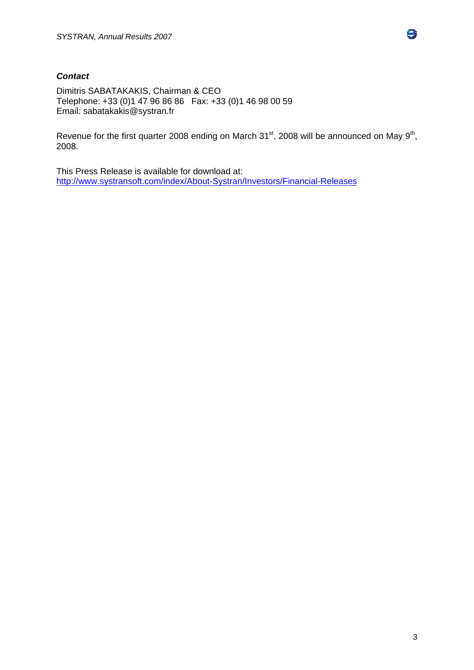#### *Contact*

Dimitris SABATAKAKIS, Chairman & CEO Telephone: +33 (0)1 47 96 86 86 Fax: +33 (0)1 46 98 00 59 Email: sabatakakis@systran.fr

Revenue for the first quarter 2008 ending on March 31<sup>st</sup>, 2008 will be announced on May 9<sup>th</sup>, 2008.

This Press Release is available for download at: http://www.systransoft.com/index/About-Systran/Investors/Financial-Releases



e.